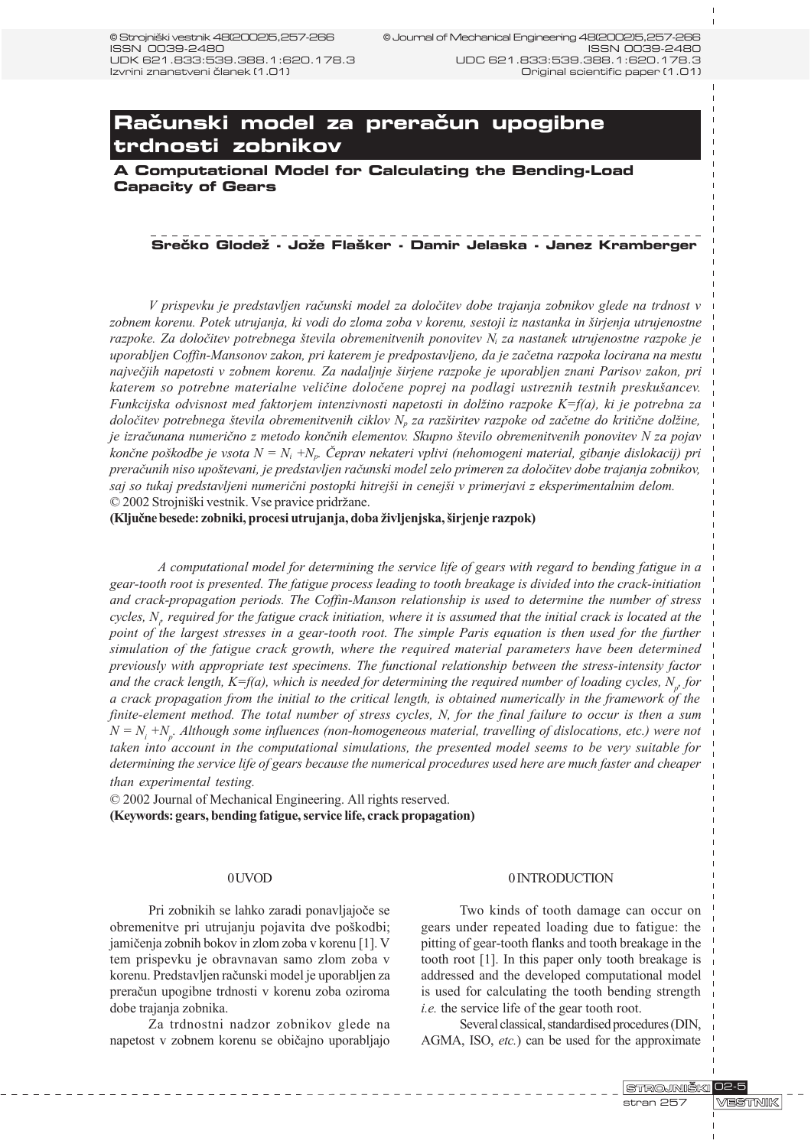# **Računski model za preračun upogibne trdnosti zobnikov**

**A Computational Model for Calculating the Bending-Load Capacity of Gears**

### **Srečko Glodež - Jože Flašker - Damir Jelaska - Janez Kramberger**

V prispevku je predstavljen raèunski model za doloèitev dobe trajanja zobnikov glede na trdnost v zobnem korenu. Potek utrujanja, ki vodi do zloma zoba v korenu, sestoji iz nastanka in širjenja utrujenostne razpoke. Za določitev potrebnega števila obremenitvenih ponovitev  $N_i$  za nastanek utrujenostne razpoke je uporabljen Coffin-Mansonov zakon, pri katerem je predpostavljeno, da je zaèetna razpoka locirana na mestu največjih napetosti v zobnem korenu. Za nadaljnje širjene razpoke je uporabljen znani Parisov zakon, pri katerem so potrebne materialne veličine določene poprej na podlagi ustreznih testnih preskušancev. Funkcijska odvisnost med faktorjem intenzivnosti napetosti in dolžino razpoke  $K=f(a)$ , ki je potrebna za določitev potrebnega števila obremenitvenih ciklov  $N_p$  za razširitev razpoke od začetne do kritične dolžine, je izračunana numerično z metodo končnih elementov. Skupno število obremenitvenih ponovitev N za pojav končne poškodbe je vsota  $N = N_i + N_p$ . Čeprav nekateri vplivi (nehomogeni material, gibanje dislokacij) pri preraèunih niso upotevani, je predstavljen raèunski model zelo primeren za doloèitev dobe trajanja zobnikov, saj so tukaj predstavljeni numerični postopki hitrejši in cenejši v primerjavi z eksperimentalnim delom. © 2002 Strojniški vestnik. Vse pravice pridržane.

(Ključne besede: zobniki, procesi utrujanja, doba življenjska, širjenje razpok)

A computational model for determining the service life of gears with regard to bending fatigue in a gear-tooth root is presented. The fatigue process leading to tooth breakage is divided into the crack-initiation and crack-propagation periods. The Coffin-Manson relationship is used to determine the number of stress cycles,  $N_r$  required for the fatigue crack initiation, where it is assumed that the initial crack is located at the point of the largest stresses in a gear-tooth root. The simple Paris equation is then used for the further simulation of the fatigue crack growth, where the required material parameters have been determined previously with appropriate test specimens. The functional relationship between the stress-intensity factor and the crack length, K=f(a), which is needed for determining the required number of loading cycles,  $N_{p'}$  for a crack propagation from the initial to the critical length, is obtained numerically in the framework of the finite-element method. The total number of stress cycles, N, for the final failure to occur is then a sum  $N = N$ <sub>i</sub> +N<sub>p</sub>. Although some influences (non-homogeneous material, travelling of dislocations, etc.) were not taken into account in the computational simulations, the presented model seems to be very suitable for determining the service life of gears because the numerical procedures used here are much faster and cheaper than experimental testing.

© 2002 Journal of Mechanical Engineering. All rights reserved. (Keywords: gears, bending fatigue, service life, crack propagation)

#### 0 UVOD

Pri zobnikih se lahko zaradi ponavljajoèe se obremenitve pri utrujanju pojavita dve poškodbi; jamièenja zobnih bokov in zlom zoba v korenu [1]. V tem prispevku je obravnavan samo zlom zoba v korenu. Predstavljen raèunski model je uporabljen za preraèun upogibne trdnosti v korenu zoba oziroma dobe trajanja zobnika.

Za trdnostni nadzor zobnikov glede na napetost v zobnem korenu se obièajno uporabljajo

#### 0 INTRODUCTION

Two kinds of tooth damage can occur on gears under repeated loading due to fatigue: the pitting of gear-tooth flanks and tooth breakage in the tooth root [1]. In this paper only tooth breakage is addressed and the developed computational model is used for calculating the tooth bending strength i.e. the service life of the gear tooth root.

Several classical, standardised procedures (DIN, AGMA, ISO, etc.) can be used for the approximate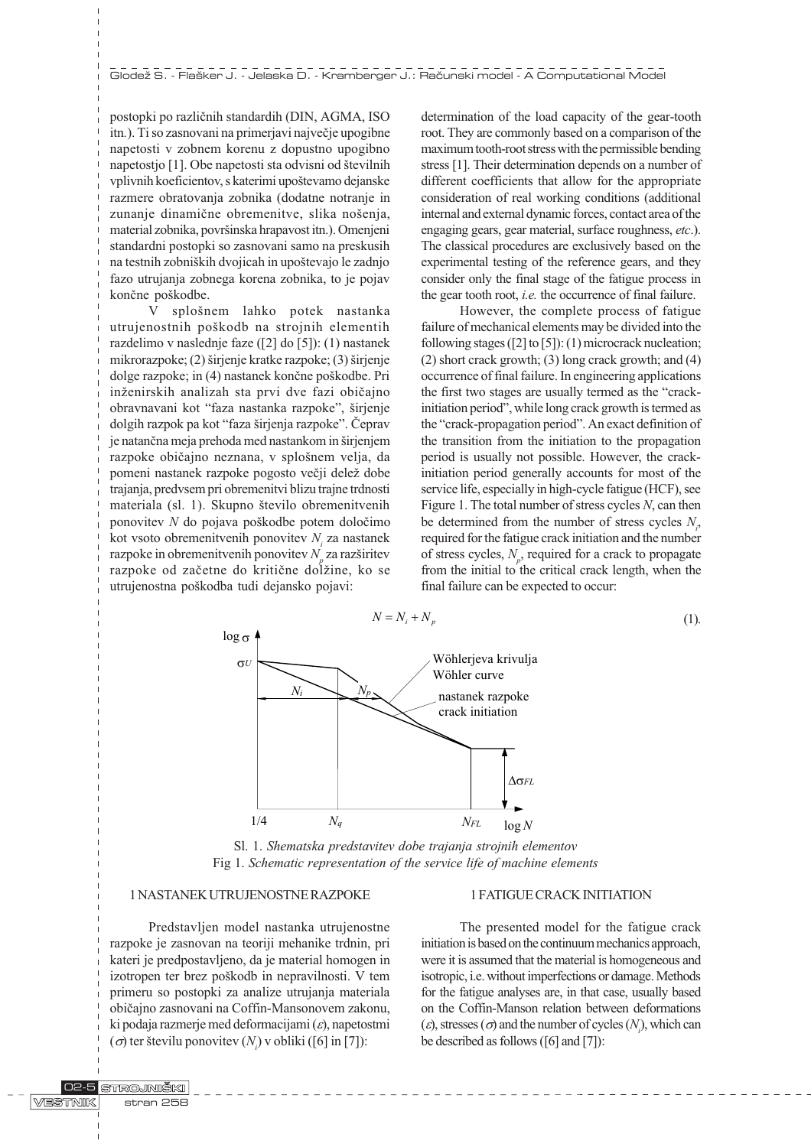postopki po razliènih standardih (DIN, AGMA, ISO itn.). Ti so zasnovani na primerjavi najveèje upogibne napetosti v zobnem korenu z dopustno upogibno napetostjo [1]. Obe napetosti sta odvisni od številnih vplivnih koeficientov, s katerimi upoštevamo dejanske razmere obratovanja zobnika (dodatne notranje in zunanje dinamične obremenitve, slika nošenja, material zobnika, površinska hrapavost itn.). Omenjeni standardni postopki so zasnovani samo na preskusih na testnih zobniških dvojicah in upoštevajo le zadnjo fazo utrujanja zobnega korena zobnika, to je pojav končne poškodbe.

V splošnem lahko potek nastanka utrujenostnih poškodb na strojnih elementih razdelimo v naslednje faze ([2] do [5]): (1) nastanek mikrorazpoke;  $(2)$  širjenje kratke razpoke;  $(3)$  širjenje dolge razpoke; in (4) nastanek končne poškodbe. Pri inženirskih analizah sta prvi dve fazi običajno obravnavani kot "faza nastanka razpoke", širjenje dolgih razpok pa kot "faza širjenja razpoke". Čeprav je natančna meja prehoda med nastankom in širjenjem razpoke običajno neznana, v splošnem velja, da pomeni nastanek razpoke pogosto večji delež dobe trajanja, predvsem pri obremenitvi blizu trajne trdnosti materiala (sl. 1). Skupno število obremenitvenih ponovitev N do pojava pokodbe potem doloèimo kot vsoto obremenitvenih ponovitev  $N_i$  za nastanek razpoke in obremenitvenih ponovitev  $N_p^{}$  za razširitev razpoke od začetne do kritične dolžine, ko se utrujenostna pokodba tudi dejansko pojavi:

determination of the load capacity of the gear-tooth root. They are commonly based on a comparison of the maximum tooth-root stress with the permissible bending stress [1]. Their determination depends on a number of different coefficients that allow for the appropriate consideration of real working conditions (additional internal and external dynamic forces, contact area of the engaging gears, gear material, surface roughness, etc.). The classical procedures are exclusively based on the experimental testing of the reference gears, and they consider only the final stage of the fatigue process in the gear tooth root, *i.e.* the occurrence of final failure.

However, the complete process of fatigue failure of mechanical elements may be divided into the following stages ([2] to [5]): (1) microcrack nucleation; (2) short crack growth; (3) long crack growth; and (4) occurrence of final failure. In engineering applications the first two stages are usually termed as the "crackinitiation period", while long crack growth is termed as the "crack-propagation period". An exact definition of the transition from the initiation to the propagation period is usually not possible. However, the crackinitiation period generally accounts for most of the service life, especially in high-cycle fatigue (HCF), see Figure 1. The total number of stress cycles  $N$ , can then be determined from the number of stress cycles  $N_i$ , required for the fatigue crack initiation and the number of stress cycles,  $N_p$ , required for a crack to propagate from the initial to the critical crack length, when the final failure can be expected to occur:



Sl. 1. Shematska predstavitev dobe trajanja strojnih elementov Fig 1. Schematic representation of the service life of machine elements

# 1 NASTANEK UTRUJENOSTNE RAZPOKE

# Predstavljen model nastanka utrujenostne razpoke je zasnovan na teoriji mehanike trdnin, pri kateri je predpostavljeno, da je material homogen in izotropen ter brez poškodb in nepravilnosti. V tem primeru so postopki za analize utrujanja materiala obièajno zasnovani na Coffin-Mansonovem zakonu, ki podaja razmerje med deformacijami  $(\varepsilon)$ , napetostmi  $(\sigma)$  ter številu ponovitev  $(N_i)$  v obliki ([6] in [7]):

### 1 FATIGUE CRACK INITIATION

The presented model for the fatigue crack initiation is based on the continuum mechanics approach, were it is assumed that the material is homogeneous and isotropic, i.e. without imperfections or damage. Methods for the fatigue analyses are, in that case, usually based on the Coffin-Manson relation between deformations  $(\varepsilon)$ , stresses  $(\sigma)$  and the number of cycles  $(N_i)$ , which can be described as follows ([6] and [7]):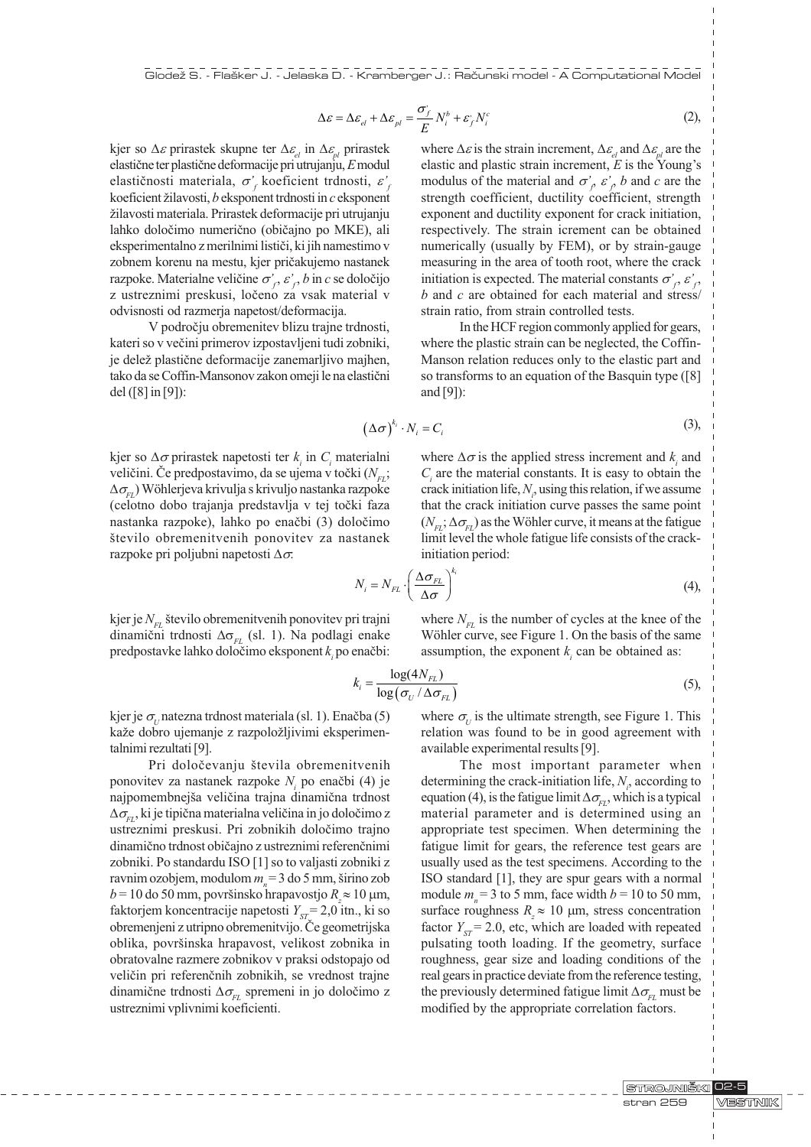Glodež S. - Flašker J. - Jelaska D. - Kramberger J.: Računski model - A Computational Model

$$
\Delta \varepsilon = \Delta \varepsilon_{el} + \Delta \varepsilon_{pl} = \frac{\sigma_j}{E} N_i^b + \varepsilon_j^N N_i^c
$$
 (2),

kjer so  $\Delta \varepsilon$  prirastek skupne ter  $\Delta \varepsilon_{el}$  in  $\Delta \varepsilon_{el}$  prirastek elastične ter plastične deformacije pri utrujanju, E modul elastičnosti materiala,  $\sigma_f'$  koeficient trdnosti,  $\varepsilon_f'$ koeficient žilavosti,  $b$  eksponent trdnosti in  $c$  eksponent žilavosti materiala. Prirastek deformacije pri utrujanju lahko doloèimo numerièno (obièajno po MKE), ali eksperimentalno z merilnimi listièi, ki jih namestimo v zobnem korenu na mestu, kjer prièakujemo nastanek razpoke. Materialne veličine  $\sigma'_{f}$ ,  $\varepsilon'_{f}$ ,  $b$  in  $c$  se določijo z ustreznimi preskusi, loèeno za vsak material v odvisnosti od razmerja napetost/deformacija.

V podroèju obremenitev blizu trajne trdnosti, kateri so v veèini primerov izpostavljeni tudi zobniki, je delež plastične deformacije zanemarljivo majhen, tako da se Coffin-Mansonov zakon omeji le na elastièni del ([8] in [9]):

where  $\Delta \varepsilon$  is the strain increment,  $\Delta \varepsilon$ <sub>*el*</sub> and  $\Delta \varepsilon$ <sub>*el*</sub> are the elastic and plastic strain increment,  $E$  is the Young's modulus of the material and  $\sigma'_{\rho} \varepsilon'_{\rho}$  b and c are the strength coefficient, ductility coefficient, strength exponent and ductility exponent for crack initiation, respectively. The strain icrement can be obtained numerically (usually by FEM), or by strain-gauge measuring in the area of tooth root, where the crack initiation is expected. The material constants  $\sigma'_f$ ,  $\varepsilon'_f$ ,  $b$  and  $c$  are obtained for each material and stress/ strain ratio, from strain controlled tests.

In the HCF region commonly applied for gears, where the plastic strain can be neglected, the Coffin-Manson relation reduces only to the elastic part and so transforms to an equation of the Basquin type ([8] and [9]):

$$
(\Delta \sigma)^{k_i} \cdot N_i = C_i \tag{3},
$$

kjer so  $\Delta \sigma$  prirastek napetosti ter  $k_i$  in  $C_i$  materialni veličini. Če predpostavimo, da se ujema v točki  $(N_{\text{F1}};$  $\Delta\sigma_{\rm cr}$ ) Wöhlerjeva krivulja s krivuljo nastanka razpoke (celotno dobo trajanja predstavlja v tej toèki faza nastanka razpoke), lahko po enaèbi (3) doloèimo število obremenitvenih ponovitev za nastanek razpoke pri poljubni napetosti  $\Delta \sigma$ :

where  $\Delta \sigma$  is the applied stress increment and  $k_i$  and  $C<sub>i</sub>$  are the material constants. It is easy to obtain the crack initiation life,  $N_i$ , using this relation, if we assume that the crack initiation curve passes the same point  $(N_{\rm FI}; \Delta\sigma_{\rm FI})$  as the Wöhler curve, it means at the fatigue limit level the whole fatigue life consists of the crackinitiation period:

where  $N_{\text{F1}}$  is the number of cycles at the knee of the Wöhler curve, see Figure 1. On the basis of the same assumption, the exponent  $k<sub>i</sub>$  can be obtained as:

$$
N_i = N_{FL} \cdot \left(\frac{\Delta \sigma_{FL}}{\Delta \sigma}\right)^{k_i}
$$
 (4),

kjer je  $N_{\text{F1}}$  število obremenitvenih ponovitev pri trajni dinamični trdnosti  $\Delta\sigma_{FL}$  (sl. 1). Na podlagi enake predpostavke lahko določimo eksponent $k_i$  po enačbi:

$$
k_{i} = \frac{\log(4N_{FL})}{\log(\sigma_{U} / \Delta \sigma_{FL})}
$$
\n(5),

kjer je  $\sigma_{U}$  natezna trdnost materiala (sl. 1). Enačba (5) kaže dobro ujemanje z razpoložljivimi eksperimentalnimi rezultati [9].

Pri določevanju števila obremenitvenih ponovitev za nastanek razpoke  $N<sub>i</sub>$  po enačbi (4) je najpomembnejša veličina trajna dinamična trdnost  $\Delta\sigma_{\rm ex}$ , ki je tipična materialna veličina in jo določimo z ustreznimi preskusi. Pri zobnikih doloèimo trajno dinamièno trdnost obièajno z ustreznimi referenènimi zobniki. Po standardu ISO [1] so to valjasti zobniki z ravnim ozobjem, modulom  $m = 3$  do 5 mm, širino zob  $b = 10$  do 50 mm, površinsko hrapavostjo  $R_z \approx 10$  µm, faktorjem koncentracije napetosti  $Y_{ST} = 2.0$  itn., ki so obremenjeni z utripno obremenitvijo. Èe geometrijska oblika, površinska hrapavost, velikost zobnika in obratovalne razmere zobnikov v praksi odstopajo od velièin pri referenènih zobnikih, se vrednost trajne dinamične trdnosti  $\Delta \sigma_{\text{eq}}$  spremeni in jo določimo z ustreznimi vplivnimi koeficienti.

where  $\sigma_{U}$  is the ultimate strength, see Figure 1. This relation was found to be in good agreement with available experimental results [9].

The most important parameter when determining the crack-initiation life,  $N_i$ , according to equation (4), is the fatigue limit  $\Delta\sigma_{\rm ET}$ , which is a typical material parameter and is determined using an appropriate test specimen. When determining the fatigue limit for gears, the reference test gears are usually used as the test specimens. According to the ISO standard [1], they are spur gears with a normal module  $m<sub>n</sub> = 3$  to 5 mm, face width  $b = 10$  to 50 mm, surface roughness  $R_z \approx 10 \mu m$ , stress concentration factor  $Y_{\text{cr}} = 2.0$ , etc, which are loaded with repeated pulsating tooth loading. If the geometry, surface roughness, gear size and loading conditions of the real gears in practice deviate from the reference testing, the previously determined fatigue limit  $\Delta\sigma_{E}$  must be modified by the appropriate correlation factors.

> STROJNIŠKI 02-5 VESTNIK stran 259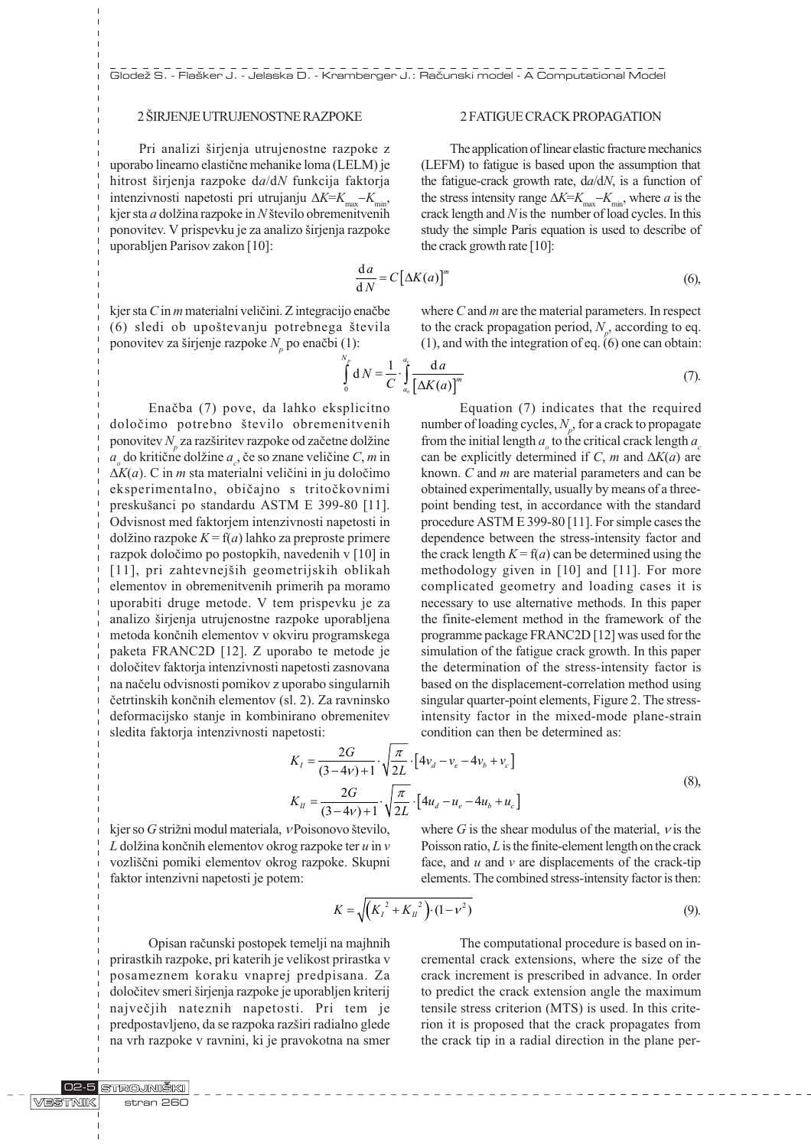# 2 ŠIRJENJE UTRUJENOSTNE RAZPOKE

Pri analizi širjenja utrujenostne razpoke z uporabo linearno elastiène mehanike loma (LELM) je hitrost širjenja razpoke da/dN funkcija faktorja intenzivnosti napetosti pri utrujanju  $\Delta K = K_{\text{max}} - K_{\text{min}}$ , kjer sta  $a$  dolžina razpoke in  $N$  število obremenitvenih ponovitev. V prispevku je za analizo širjenja razpoke uporabljen Parisov zakon [10]:

# 2 FATIGUE CRACK PROPAGATION

The application of linear elastic fracture mechanics (LEFM) to fatigue is based upon the assumption that the fatigue-crack growth rate,  $da/dN$ , is a function of the stress intensity range  $\Delta K = K_{\text{max}} - K_{\text{min}}$ , where *a* is the crack length and  $N$  is the number of load cycles. In this study the simple Paris equation is used to describe of the crack growth rate [10]:

$$
\frac{\mathrm{d}a}{\mathrm{d}N} = C\big[\Delta K(a)\big]^m \tag{6},
$$

kjer sta  $C$  in  $m$  materialni veličini. Z integracijo enačbe (6) sledi ob upoštevanju potrebnega števila ponovitev za širjenje razpoke  $N_p$  po enačbi (1):

where  $C$  and  $m$  are the material parameters. In respect to the crack propagation period,  $N_p$ , according to eq. (1), and with the integration of eq. (6) one can obtain:

$$
\int_{0}^{N_{p}} dN = \frac{1}{C} \cdot \int_{a_{o}}^{a_{c}} \frac{da}{\left[\Delta K(a)\right]^{m}}
$$
\n(7)

Enaèba (7) pove, da lahko eksplicitno določimo potrebno število obremenitvenih ponovitev $N_p$  za razširitev razpoke od začetne dolžine  $a_{\rho}$  do kritične dolžine  $a_{\rho}$ , če so znane veličine *C*, *m* in  $\Delta K(a)$ . C in *m* sta materialni veličini in ju določimo eksperimentalno, obièajno s tritoèkovnimi preskušanci po standardu ASTM E 399-80 [11]. Odvisnost med faktorjem intenzivnosti napetosti in dolžino razpoke  $K = f(a)$  lahko za preproste primere razpok doloèimo po postopkih, navedenih v [10] in [11], pri zahtevnejših geometrijskih oblikah elementov in obremenitvenih primerih pa moramo uporabiti druge metode. V tem prispevku je za analizo širjenja utrujenostne razpoke uporabljena metoda konènih elementov v okviru programskega paketa FRANC2D [12]. Z uporabo te metode je doloèitev faktorja intenzivnosti napetosti zasnovana na naèelu odvisnosti pomikov z uporabo singularnih èetrtinskih konènih elementov (sl. 2). Za ravninsko deformacijsko stanje in kombinirano obremenitev sledita faktorja intenzivnosti napetosti:

Equation (7) indicates that the required number of loading cycles,  $N_p$ , for a crack to propagate from the initial length  $a_{\rho}$  to the critical crack length  $a_{c}$ can be explicitly determined if C, m and  $\Delta K(a)$  are known. C and m are material parameters and can be obtained experimentally, usually by means of a threepoint bending test, in accordance with the standard procedure ASTM E 399-80 [11]. For simple cases the dependence between the stress-intensity factor and the crack length  $K = f(a)$  can be determined using the methodology given in [10] and [11]. For more complicated geometry and loading cases it is necessary to use alternative methods. In this paper the finite-element method in the framework of the programme package FRANC2D [12] was used for the simulation of the fatigue crack growth. In this paper the determination of the stress-intensity factor is based on the displacement-correlation method using singular quarter-point elements, Figure 2. The stressintensity factor in the mixed-mode plane-strain condition can then be determined as:

$$
K_{I} = \frac{2G}{(3-4v)+1} \cdot \sqrt{\frac{\pi}{2L}} \cdot [4v_{d} - v_{e} - 4v_{b} + v_{c}]
$$
  
\n
$$
K_{II} = \frac{2G}{(3-4v)+1} \cdot \sqrt{\frac{\pi}{2L}} \cdot [4u_{d} - u_{e} - 4u_{b} + u_{c}]
$$
\n(8),

kjer so  $G$  strižni modul materiala,  $\nu$ Poisonovo število,  $L$  dolžina končnih elementov okrog razpoke ter  $u$  in  $v$ vozliščni pomiki elementov okrog razpoke. Skupni faktor intenzivni napetosti je potem:

where G is the shear modulus of the material,  $\nu$  is the Poisson ratio,  $L$  is the finite-element length on the crack face, and  $u$  and  $v$  are displacements of the crack-tip elements. The combined stress-intensity factor is then:

$$
K = \sqrt{\left(K_I^2 + K_{II}^2\right) \cdot (1 - \nu^2)}
$$
\n(9)

Opisan raèunski postopek temelji na majhnih prirastkih razpoke, pri katerih je velikost prirastka v posameznem koraku vnaprej predpisana. Za določitev smeri širjenja razpoke je uporabljen kriterij najveèjih nateznih napetosti. Pri tem je predpostavljeno, da se razpoka razširi radialno glede na vrh razpoke v ravnini, ki je pravokotna na smer

The computational procedure is based on incremental crack extensions, where the size of the crack increment is prescribed in advance. In order to predict the crack extension angle the maximum tensile stress criterion (MTS) is used. In this criterion it is proposed that the crack propagates from the crack tip in a radial direction in the plane per-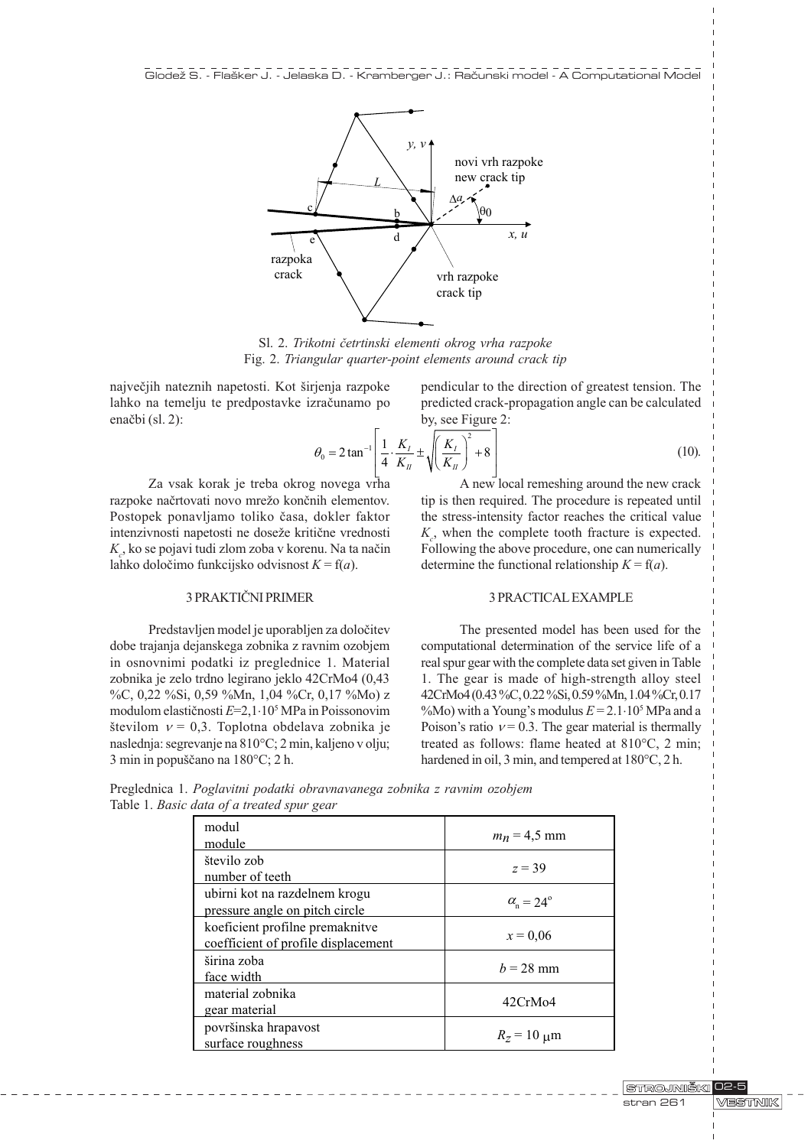

Sl. 2. Trikotni èetrtinski elementi okrog vrha razpoke Fig. 2. Triangular quarter-point elements around crack tip

največjih nateznih napetosti. Kot širjenja razpoke lahko na temelju te predpostavke izraèunamo po enačbi (sl. 2):

pendicular to the direction of greatest tension. The predicted crack-propagation angle can be calculated by, see Figure 2:

$$
\theta_0 = 2 \tan^{-1} \left[ \frac{1}{4} \cdot \frac{K_I}{K_{II}} \pm \sqrt{\left( \frac{K_I}{K_{II}} \right)^2 + 8} \right]
$$
(10).

Za vsak korak je treba okrog novega vrha razpoke načrtovati novo mrežo končnih elementov. Postopek ponavljamo toliko èasa, dokler faktor intenzivnosti napetosti ne doseže kritične vrednosti  $K_c$ , ko se pojavi tudi zlom zoba v korenu. Na ta način lahko določimo funkcijsko odvisnost  $K = f(a)$ .

# 3 PRAKTIÈNI PRIMER

Predstavljen model je uporabljen za doloèitev dobe trajanja dejanskega zobnika z ravnim ozobjem in osnovnimi podatki iz preglednice 1. Material zobnika je zelo trdno legirano jeklo 42CrMo4 (0,43 %C, 0,22 %Si, 0,59 %Mn, 1,04 %Cr, 0,17 %Mo) z modulom elastiènosti E=2,1×105 MPa in Poissonovim številom  $v = 0,3$ . Toplotna obdelava zobnika je naslednja: segrevanje na 810°C; 2 min, kaljeno v olju; 3 min in popuščano na 180°C; 2 h.

A new local remeshing around the new crack tip is then required. The procedure is repeated until the stress-intensity factor reaches the critical value  $K_c$ , when the complete tooth fracture is expected. Following the above procedure, one can numerically determine the functional relationship  $K = f(a)$ .

#### 3 PRACTICAL EXAMPLE

The presented model has been used for the computational determination of the service life of a real spur gear with the complete data set given in Table 1. The gear is made of high-strength alloy steel 42CrMo4 (0.43 %C, 0.22 %Si, 0.59 %Mn, 1.04 %Cr, 0.17 %Mo) with a Young's modulus  $E = 2.1 \cdot 10^5$  MPa and a Poison's ratio  $v = 0.3$ . The gear material is thermally treated as follows: flame heated at 810°C, 2 min; hardened in oil, 3 min, and tempered at 180°C, 2 h.

Preglednica 1. Poglavitni podatki obravnavanega zobnika z ravnim ozobjem Table 1. Basic data of a treated spur gear

| modul<br>module                                                        | $m_n = 4.5$ mm                |
|------------------------------------------------------------------------|-------------------------------|
| število zob<br>number of teeth                                         | $z = 39$                      |
| ubirni kot na razdelnem krogu<br>pressure angle on pitch circle        | $\alpha_{\rm n} = 24^{\circ}$ |
| koeficient profilne premaknitve<br>coefficient of profile displacement | $x = 0.06$                    |
| širina zoba<br>face width                                              | $b = 28$ mm                   |
| material zobnika<br>gear material                                      | 42CrM <sub>0</sub> 4          |
| površinska hrapavost<br>surface roughness                              | $R_z = 10 \mu m$              |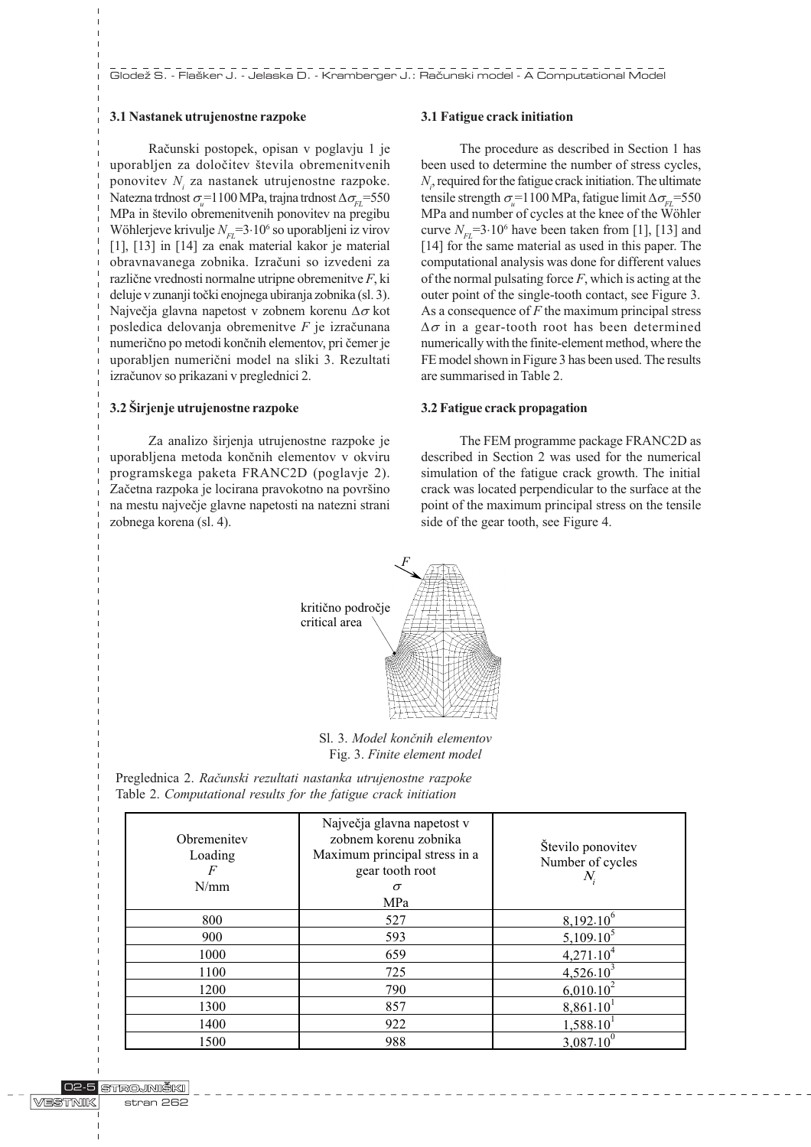# 3.1 Nastanek utrujenostne razpoke

Raèunski postopek, opisan v poglavju 1 je uporabljen za določitev števila obremenitvenih ponovitev  $N_i$  za nastanek utrujenostne razpoke. Natezna trdnost  $\sigma_{\mu}^{\text{+1100}$  MPa, trajna trdnost  $\Delta \sigma_{\text{FL}}^{\text{+550}}$ MPa in število obremenitvenih ponovitev na pregibu Wöhlerjeve krivulje  $N_{FL}$ =3 $\cdot 10^6$  so uporabljeni iz virov [1], [13] in [14] za enak material kakor je material obravnavanega zobnika. Izraèuni so izvedeni za razliène vrednosti normalne utripne obremenitve F, ki deluje v zunanji toèki enojnega ubiranja zobnika (sl. 3). Največja glavna napetost v zobnem korenu  $\Delta \sigma$  kot posledica delovanja obremenitve  $F$  je izračunana numerično po metodi končnih elementov, pri čemer je uporabljen numerièni model na sliki 3. Rezultati izraèunov so prikazani v preglednici 2.

# 3.2 Širjenje utrujenostne razpoke

Za analizo širjenja utrujenostne razpoke je uporabljena metoda konènih elementov v okviru programskega paketa FRANC2D (poglavje 2). Začetna razpoka je locirana pravokotno na površino na mestu najveèje glavne napetosti na natezni strani zobnega korena (sl. 4).

#### 3.1 Fatigue crack initiation

The procedure as described in Section 1 has been used to determine the number of stress cycles,  $N<sub>i</sub>$ , required for the fatigue crack initiation. The ultimate tensile strength  $\sigma_{\nu} = 1100 \text{ MPa}$ , fatigue limit  $\Delta \sigma_{\nu L} = 550$ MPa and number of cycles at the knee of the Wöhler curve  $N_{FL}$ =3·10<sup>6</sup> have been taken from [1], [13] and [14] for the same material as used in this paper. The computational analysis was done for different values of the normal pulsating force  $F$ , which is acting at the outer point of the single-tooth contact, see Figure 3. As a consequence of  $F$  the maximum principal stress  $\Delta \sigma$  in a gear-tooth root has been determined numerically with the finite-element method, where the FE model shown in Figure 3 has been used. The results are summarised in Table 2.

### 3.2 Fatigue crack propagation

The FEM programme package FRANC2D as described in Section 2 was used for the numerical simulation of the fatigue crack growth. The initial crack was located perpendicular to the surface at the point of the maximum principal stress on the tensile side of the gear tooth, see Figure 4.



Sl. 3. Model končnih elementov Fig. 3. Finite element model

| Obremenitev<br>Loading<br>F<br>N/mm | Največja glavna napetost v<br>zobnem korenu zobnika<br>Maximum principal stress in a<br>gear tooth root<br>$\sigma$<br>MPa | Število ponovitev<br>Number of cycles<br>$N_i$ |
|-------------------------------------|----------------------------------------------------------------------------------------------------------------------------|------------------------------------------------|
| 800                                 | 527                                                                                                                        | $8,192.10^{6}$                                 |
| 900                                 | 593                                                                                                                        | $5,109.10^5$                                   |
| 1000                                | 659                                                                                                                        | $4,271.10^{4}$                                 |
| 1100                                | 725                                                                                                                        | $4,526.10^{3}$                                 |
| 1200                                | 790                                                                                                                        | $6,010.10^{2}$                                 |
| 1300                                | 857                                                                                                                        | 8,861.10                                       |
| 1400                                | 922                                                                                                                        | 1,588.10                                       |
| 1500                                | 988                                                                                                                        | $3,087.10^{0}$                                 |

Preglednica 2. Raèunski rezultati nastanka utrujenostne razpoke Table 2. Computational results for the fatigue crack initiation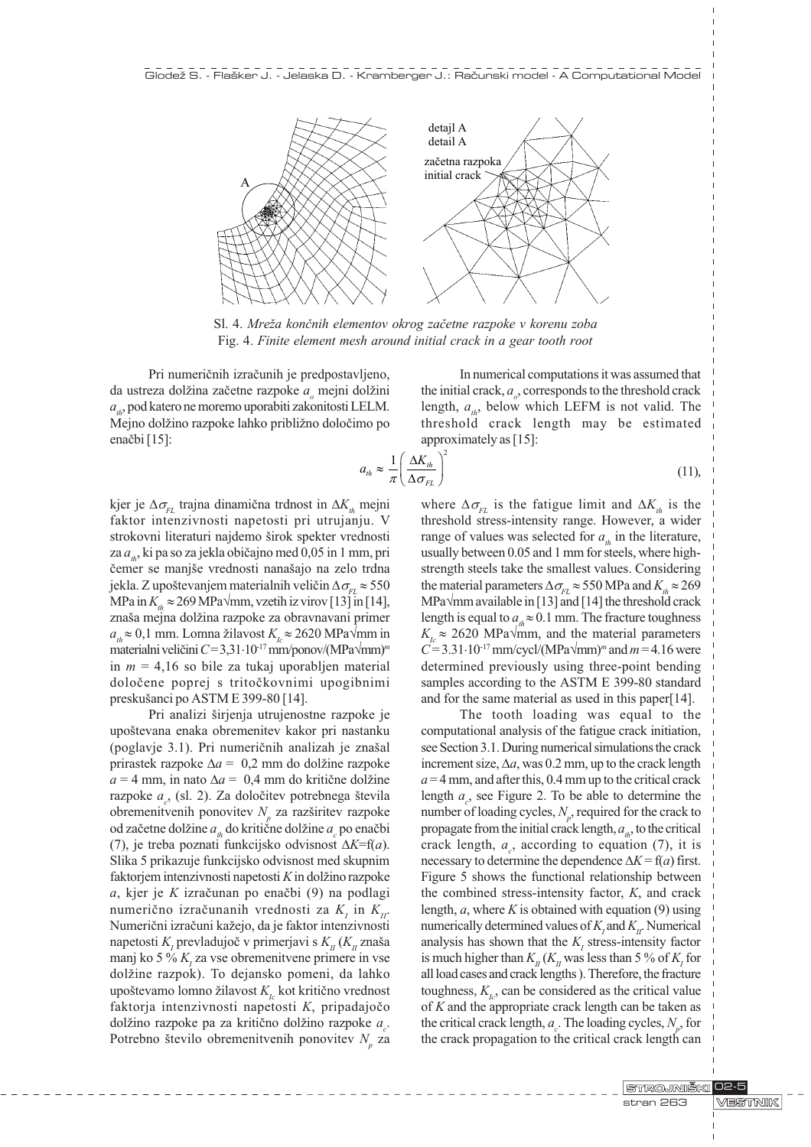

Sl. 4. Mreža končnih elementov okrog začetne razpoke v korenu zoba Fig. 4. Finite element mesh around initial crack in a gear tooth root

Pri numeriènih izraèunih je predpostavljeno, da ustreza dolžina začetne razpoke  $a_{\rho}$  mejni dolžini  $a_{\mu}$ , pod katero ne moremo uporabiti zakonitosti LELM. Mejno dolžino razpoke lahko približno določimo po enačbi [15]:

In numerical computations it was assumed that the initial crack,  $a_{o}$ , corresponds to the threshold crack length,  $a_{\mu}$ , below which LEFM is not valid. The threshold crack length may be estimated approximately as [15]:

$$
a_{th} \approx \frac{1}{\pi} \left( \frac{\Delta K_{th}}{\Delta \sigma_{FL}} \right)^2 \tag{11}
$$

kjer je  $\Delta \sigma_{\scriptscriptstyle{EI}}$  trajna dinamična trdnost in  $\Delta K_{\scriptscriptstyle{th}}$  mejni faktor intenzivnosti napetosti pri utrujanju. V strokovni literaturi najdemo širok spekter vrednosti za  $a_{\mu}$ , ki pa so za jekla običajno med 0,05 in 1 mm, pri čemer se manjše vrednosti nanašajo na zelo trdna jekla. Z upoštevanjem materialnih veličin  $\Delta\sigma_{FL} \approx 550$ MPa in  $K_{th} \approx 269$  MPa $\sqrt{mm}$ , vzetih iz virov [13] in [14], znaša mejna dolžina razpoke za obravnavani primer  $a<sub>n</sub> \approx 0,1$  mm. Lomna žilavost  $K<sub>n</sub> \approx 2620$  MPa $\sqrt{mn}$  in materialni veličini  $C = 3,31 \cdot 10^{17}$  mm/ponov/(MPa $\sqrt{mm}$ )<sup>m</sup> in  $m = 4,16$  so bile za tukaj uporabljen material doloèene poprej s tritoèkovnimi upogibnimi preskušanci po ASTM E 399-80 [14].

Pri analizi širjenja utrujenostne razpoke je upoštevana enaka obremenitev kakor pri nastanku (poglavje 3.1). Pri numeričnih analizah je znašal prirastek razpoke  $\Delta a = 0.2$  mm do dolžine razpoke  $a = 4$  mm, in nato  $\Delta a = 0.4$  mm do kritične dolžine razpoke  $a_c$ , (sl. 2). Za določitev potrebnega števila obremenitvenih ponovitev  $N_p$  za razširitev razpoke od začetne dolžine  $a_{_{th}}$ do kritične dolžine  $a_{_c}$ po enačbi (7), je treba poznati funkcijsko odvisnost  $\Delta K=f(a)$ . Slika 5 prikazuje funkcijsko odvisnost med skupnim faktorjem intenzivnosti napetosti  $K$  in dolžino razpoke  $a$ , kjer je K izračunan po enačbi (9) na podlagi numerično izračunanih vrednosti za  $K_i$  in  $K_{ii}$ . Numerični izračuni kažejo, da je faktor intenzivnosti napetosti  $K_{\scriptscriptstyle I}$  prevladujoč v primerjavi s  $K_{\scriptscriptstyle II}$   $(K_{\scriptscriptstyle II}$  znaša manj ko 5 %  $K<sub>I</sub>$  za vse obremenitvene primere in vse dolžine razpok). To dejansko pomeni, da lahko upoštevamo lomno žilavost  $K_{i}$  kot kritično vrednost faktorja intenzivnosti napetosti K, pripadajoèo dolžino razpoke pa za kritično dolžino razpoke  $a_c$ . Potrebno število obremenitvenih ponovitev  $N_p$  za

where  $\Delta \sigma_{FL}$  is the fatigue limit and  $\Delta K_{th}$  is the threshold stress-intensity range. However, a wider range of values was selected for  $a_{\mu}$  in the literature, usually between 0.05 and 1 mm for steels, where highstrength steels take the smallest values. Considering the material parameters  $\Delta \sigma_{FL} \approx 550 \text{ MPa}$  and  $K_{th} \approx 269$ MPa $\sqrt{mn}$  available in [13] and [14] the threshold crack length is equal to  $a<sub>n</sub> \approx 0.1$  mm. The fracture toughness  $K<sub>L</sub> \approx 2620$  MPa $\sqrt{mm}$ , and the material parameters  $C = 3.31 \cdot 10^{-17}$  mm/cycl/(MPa $\sqrt{mm}$ )<sup>m</sup> and  $m = 4.16$  were determined previously using three-point bending samples according to the ASTM E 399-80 standard and for the same material as used in this paper[14].

The tooth loading was equal to the computational analysis of the fatigue crack initiation, see Section 3.1. During numerical simulations the crack increment size,  $\Delta a$ , was 0.2 mm, up to the crack length  $a = 4$  mm, and after this, 0.4 mm up to the critical crack length  $a_c$ , see Figure 2. To be able to determine the number of loading cycles,  $N_p$ , required for the crack to propagate from the initial crack length,  $a_{\mu}$ , to the critical crack length,  $a_c$ , according to equation (7), it is necessary to determine the dependence  $\Delta K = f(a)$  first. Figure 5 shows the functional relationship between the combined stress-intensity factor, K, and crack length,  $a$ , where  $K$  is obtained with equation (9) using numerically determined values of  $K_i$  and  $K_{ii}$ . Numerical analysis has shown that the  $K<sub>I</sub>$  stress-intensity factor is much higher than  $K_{II}$  ( $K_{II}$  was less than 5 % of  $K_{I}$  for all load cases and crack lengths ). Therefore, the fracture toughness,  $K_{i,j}$  can be considered as the critical value of  $K$  and the appropriate crack length can be taken as the critical crack length,  $a_c$ . The loading cycles,  $N_p$ , for the crack propagation to the critical crack length can

> STROJNIŠKI 02-5 VESTNIK stran 263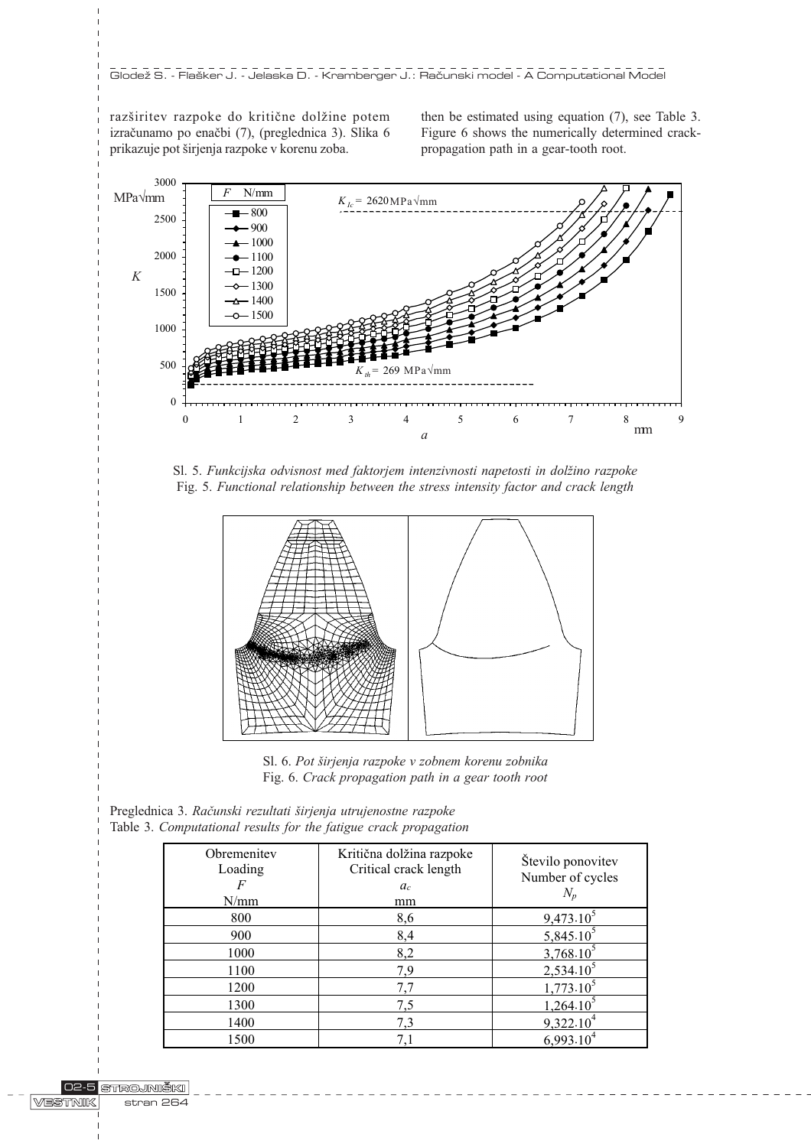razširitev razpoke do kritične dolžine potem izraèunamo po enaèbi (7), (preglednica 3). Slika 6 prikazuje pot širjenja razpoke v korenu zoba.

then be estimated using equation (7), see Table 3. Figure 6 shows the numerically determined crackpropagation path in a gear-tooth root.



Sl. 5. Funkcijska odvisnost med faktorjem intenzivnosti napetosti in dolžino razpoke Fig. 5. Functional relationship between the stress intensity factor and crack length



Sl. 6. Pot širjenja razpoke v zobnem korenu zobnika Fig. 6. Crack propagation path in a gear tooth root

| Preglednica 3. Računski rezultati širjenja utrujenostne razpoke  |  |  |  |
|------------------------------------------------------------------|--|--|--|
| Table 3. Computational results for the fatigue crack propagation |  |  |  |

| Obremenitev<br>Loading<br>F<br>N/mm | Kritična dolžina razpoke<br>Critical crack length<br>$a_c$<br>mm | Število ponovitev<br>Number of cycles<br>$N_p$ |
|-------------------------------------|------------------------------------------------------------------|------------------------------------------------|
| 800                                 | 8,6                                                              | $9,473.10^5$                                   |
| 900                                 | 8,4                                                              | $5,845.10^{5}$                                 |
| 1000                                | 8,2                                                              | $3,768.10^{1}$                                 |
| 1100                                | 7,9                                                              | $2,534.10^5$                                   |
| 1200                                | 7.7                                                              | $1,773.10^5$                                   |
| 1300                                | 7,5                                                              | $1,264.10^3$                                   |
| 1400                                | 7,3                                                              | 9,322.10                                       |
| 1500                                | 7,1                                                              | 6.993.                                         |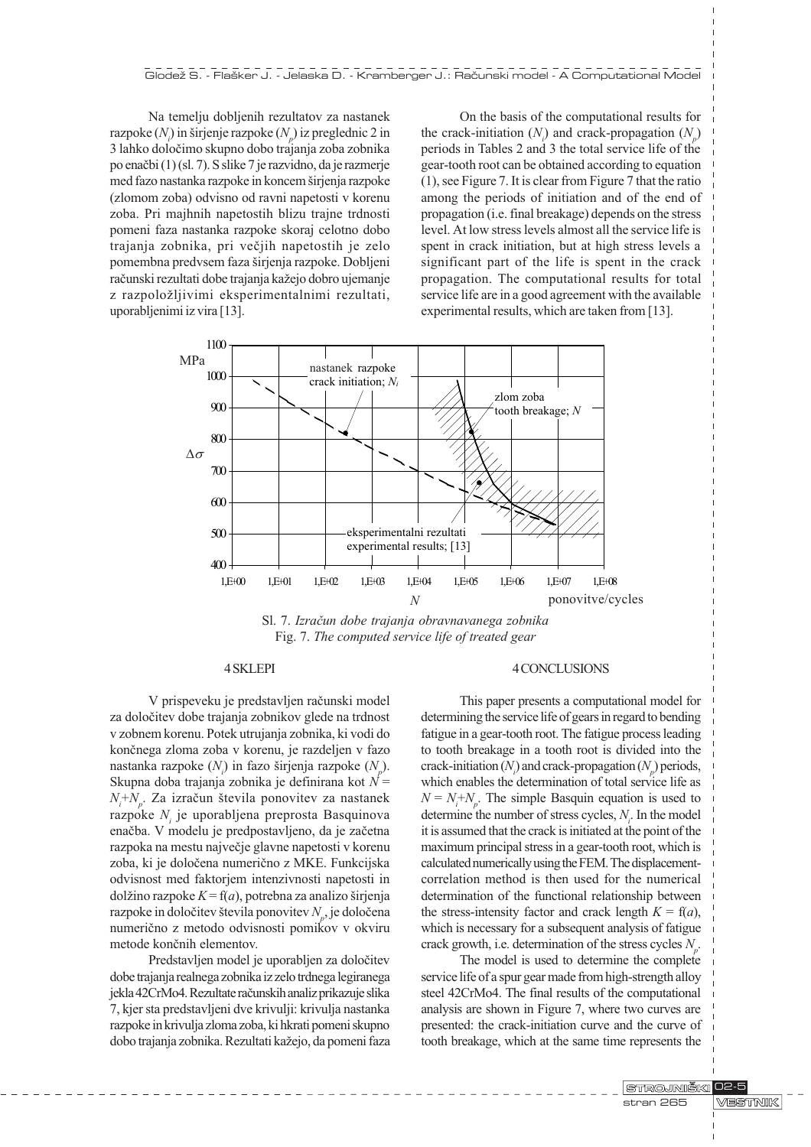Na temelju dobljenih rezultatov za nastanek razpoke  $(N_i)$  in širjenje razpoke  $(N_p)$  iz preglednic 2 in 3 lahko doloèimo skupno dobo trajanja zoba zobnika po enaèbi (1) (sl. 7). S slike 7 je razvidno, da je razmerje med fazo nastanka razpoke in koncem širjenja razpoke (zlomom zoba) odvisno od ravni napetosti v korenu zoba. Pri majhnih napetostih blizu trajne trdnosti pomeni faza nastanka razpoke skoraj celotno dobo trajanja zobnika, pri veèjih napetostih je zelo pomembna predvsem faza širjenja razpoke. Dobljeni računski rezultati dobe trajanja kažejo dobro ujemanje z razpoložljivimi eksperimentalnimi rezultati, uporabljenimi iz vira [13].

On the basis of the computational results for the crack-initiation  $(N_i)$  and crack-propagation  $(N_p)$ periods in Tables 2 and 3 the total service life of the gear-tooth root can be obtained according to equation (1), see Figure 7. It is clear from Figure 7 that the ratio among the periods of initiation and of the end of propagation (i.e. final breakage) depends on the stress level. At low stress levels almost all the service life is spent in crack initiation, but at high stress levels a significant part of the life is spent in the crack propagation. The computational results for total service life are in a good agreement with the available experimental results, which are taken from [13].



Sl. 7. Izraèun dobe trajanja obravnavanega zobnika Fig. 7. The computed service life of treated gear

# 4 SKLEPI

V prispeveku je predstavljen raèunski model za doloèitev dobe trajanja zobnikov glede na trdnost v zobnem korenu. Potek utrujanja zobnika, ki vodi do konènega zloma zoba v korenu, je razdeljen v fazo nastanka razpoke  $(N<sub>i</sub>)$  in fazo širjenja razpoke  $(N<sub>p</sub>)$ . Skupna doba trajanja zobnika je definirana kot  $N =$  $N_i + N_p$ . Za izračun števila ponovitev za nastanek razpoke  $N_i$  je uporabljena preprosta Basquinova enaèba. V modelu je predpostavljeno, da je zaèetna razpoka na mestu najveèje glavne napetosti v korenu zoba, ki je doloèena numerièno z MKE. Funkcijska odvisnost med faktorjem intenzivnosti napetosti in dolžino razpoke  $K = f(a)$ , potrebna za analizo širjenja razpoke in določitev števila ponovitev  $N_{_{\!P}}$ , je določena numerièno z metodo odvisnosti pomikov v okviru metode konènih elementov.

Predstavljen model je uporabljen za doloèitev dobe trajanja realnega zobnika iz zelo trdnega legiranega jekla 42CrMo4. Rezultate raèunskih analiz prikazuje slika 7, kjer sta predstavljeni dve krivulji: krivulja nastanka razpoke in krivulja zloma zoba, ki hkrati pomeni skupno dobo trajanja zobnika. Rezultati kažejo, da pomeni faza

#### 4 CONCLUSIONS

This paper presents a computational model for determining the service life of gears in regard to bending fatigue in a gear-tooth root. The fatigue process leading to tooth breakage in a tooth root is divided into the crack-initiation  $(N_i)$  and crack-propagation  $(N_p)$  periods, which enables the determination of total service life as  $N = N_i + N_p$ . The simple Basquin equation is used to determine the number of stress cycles,  $N_i$ . In the model it is assumed that the crack is initiated at the point of the maximum principal stress in a gear-tooth root, which is calculated numerically using the FEM. The displacementcorrelation method is then used for the numerical determination of the functional relationship between the stress-intensity factor and crack length  $K = f(a)$ , which is necessary for a subsequent analysis of fatigue crack growth, i.e. determination of the stress cycles  $N_p$ .

The model is used to determine the complete service life of a spur gear made from high-strength alloy steel 42CrMo4. The final results of the computational analysis are shown in Figure 7, where two curves are presented: the crack-initiation curve and the curve of tooth breakage, which at the same time represents the

> STROJNIŠKI 02-5 **MESTINIK** stran 265